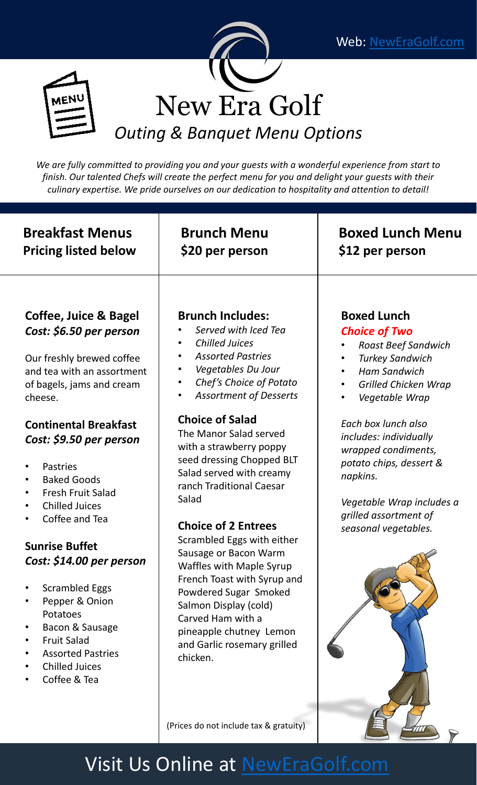$\triangledown$ 





*We are fully committed to providing you and your guests with a wonderful experience from start to finish. Our talented Chefs will create the perfect menu for you and delight your guests with their culinary expertise. We pride ourselves on our dedication to hospitality and attention to detail!*

| <b>Breakfast Menus</b><br><b>Pricing listed below</b>                                                                                                                                                                                                                                                                                                                                                                                                                                                                                                                              | <b>Brunch Menu</b><br>\$20 per person                                                                                                                                                                                                                                                                                                                                                                                                                                                                                                                                                                                                                                                                                     | <b>Boxed Lunch Menu</b><br>\$12 per person                                                                                                                                                                                                                                                                                                                                                        |
|------------------------------------------------------------------------------------------------------------------------------------------------------------------------------------------------------------------------------------------------------------------------------------------------------------------------------------------------------------------------------------------------------------------------------------------------------------------------------------------------------------------------------------------------------------------------------------|---------------------------------------------------------------------------------------------------------------------------------------------------------------------------------------------------------------------------------------------------------------------------------------------------------------------------------------------------------------------------------------------------------------------------------------------------------------------------------------------------------------------------------------------------------------------------------------------------------------------------------------------------------------------------------------------------------------------------|---------------------------------------------------------------------------------------------------------------------------------------------------------------------------------------------------------------------------------------------------------------------------------------------------------------------------------------------------------------------------------------------------|
| Coffee, Juice & Bagel<br>Cost: \$6.50 per person<br>Our freshly brewed coffee<br>and tea with an assortment<br>of bagels, jams and cream<br>cheese.<br><b>Continental Breakfast</b><br>Cost: \$9.50 per person<br><b>Pastries</b><br><b>Baked Goods</b><br>$\bullet$<br><b>Fresh Fruit Salad</b><br><b>Chilled Juices</b><br>$\bullet$<br>Coffee and Tea<br><b>Sunrise Buffet</b><br>Cost: \$14.00 per person<br><b>Scrambled Eggs</b><br>Pepper & Onion<br>Potatoes<br>Bacon & Sausage<br><b>Fruit Salad</b><br><b>Assorted Pastries</b><br><b>Chilled Juices</b><br>Coffee & Tea | <b>Brunch Includes:</b><br>Served with Iced Tea<br><b>Chilled Juices</b><br>$\bullet$<br><b>Assorted Pastries</b><br>$\bullet$<br>Vegetables Du Jour<br>٠<br>Chef's Choice of Potato<br>$\bullet$<br><b>Assortment of Desserts</b><br>$\bullet$<br><b>Choice of Salad</b><br>The Manor Salad served<br>with a strawberry poppy<br>seed dressing Chopped BLT<br>Salad served with creamy<br>ranch Traditional Caesar<br>Salad<br><b>Choice of 2 Entrees</b><br>Scrambled Eggs with either<br>Sausage or Bacon Warm<br>Waffles with Maple Syrup<br>French Toast with Syrup and<br>Powdered Sugar Smoked<br>Salmon Display (cold)<br>Carved Ham with a<br>pineapple chutney Lemon<br>and Garlic rosemary grilled<br>chicken. | <b>Boxed Lunch</b><br><b>Choice of Two</b><br><b>Roast Beef Sandwich</b><br><b>Turkey Sandwich</b><br>$\bullet$<br><b>Ham Sandwich</b><br><b>Grilled Chicken Wrap</b><br>$\bullet$<br>Vegetable Wrap<br>Each box lunch also<br>includes: individually<br>wrapped condiments,<br>potato chips, dessert &<br>napkins.<br>Vegetable Wrap includes a<br>grilled assortment of<br>seasonal vegetables. |
|                                                                                                                                                                                                                                                                                                                                                                                                                                                                                                                                                                                    | (Prices do not include tax & gratuity)                                                                                                                                                                                                                                                                                                                                                                                                                                                                                                                                                                                                                                                                                    |                                                                                                                                                                                                                                                                                                                                                                                                   |

## Visit Us Online at [NewEraGolf.com](http://neweragolf.com/)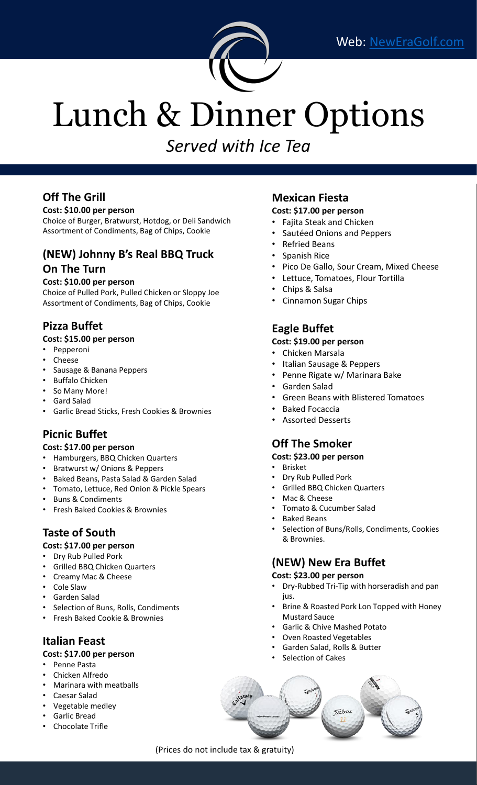

# Lunch & Dinner Options

*Served with Ice Tea*

#### **Off The Grill**

#### **Cost: \$10.00 per person**

Choice of Burger, Bratwurst, Hotdog, or Deli Sandwich Assortment of Condiments, Bag of Chips, Cookie

#### **(NEW) Johnny B's Real BBQ Truck On The Turn**

#### **Cost: \$10.00 per person**

Choice of Pulled Pork, Pulled Chicken or Sloppy Joe Assortment of Condiments, Bag of Chips, Cookie

#### **Pizza Buffet**

#### **Cost: \$15.00 per person**

- Pepperoni
- Cheese
- Sausage & Banana Peppers
- Buffalo Chicken
- So Many More!
- Gard Salad
- Garlic Bread Sticks, Fresh Cookies & Brownies

#### **Picnic Buffet**

#### **Cost: \$17.00 per person**

- Hamburgers, BBQ Chicken Quarters
- Bratwurst w/ Onions & Peppers
- Baked Beans, Pasta Salad & Garden Salad
- Tomato, Lettuce, Red Onion & Pickle Spears
- Buns & Condiments
- Fresh Baked Cookies & Brownies

#### **Taste of South**

#### **Cost: \$17.00 per person**

- Dry Rub Pulled Pork
- Grilled BBQ Chicken Quarters
- Creamy Mac & Cheese
- Cole Slaw
- Garden Salad
- Selection of Buns, Rolls, Condiments
- Fresh Baked Cookie & Brownies

#### **Italian Feast**

#### **Cost: \$17.00 per person**

- Penne Pasta
- Chicken Alfredo
- Marinara with meatballs
- Caesar Salad
- Vegetable medley
- Garlic Bread
- Chocolate Trifle

#### **Mexican Fiesta**

- **Cost: \$17.00 per person**
- Fajita Steak and Chicken
- Sautéed Onions and Peppers
- Refried Beans
- Spanish Rice
- Pico De Gallo, Sour Cream, Mixed Cheese
- Lettuce, Tomatoes, Flour Tortilla
- Chips & Salsa
- Cinnamon Sugar Chips

#### **Eagle Buffet**

#### **Cost: \$19.00 per person**

- Chicken Marsala
- Italian Sausage & Peppers
- Penne Rigate w/ Marinara Bake
- Garden Salad
- Green Beans with Blistered Tomatoes
- Baked Focaccia
- Assorted Desserts

#### **Off The Smoker**

#### **Cost: \$23.00 per person**

- Brisket
- Dry Rub Pulled Pork
- Grilled BBQ Chicken Quarters
- Mac & Cheese
- Tomato & Cucumber Salad
- Baked Beans
- Selection of Buns/Rolls, Condiments, Cookies & Brownies.

#### **(NEW) New Era Buffet**

#### **Cost: \$23.00 per person**

- Dry-Rubbed Tri-Tip with horseradish and pan ius.
- Brine & Roasted Pork Lon Topped with Honey Mustard Sauce
- Garlic & Chive Mashed Potato
- Oven Roasted Vegetables
- Garden Salad, Rolls & Butter
- Selection of Cakes



(Prices do not include tax & gratuity)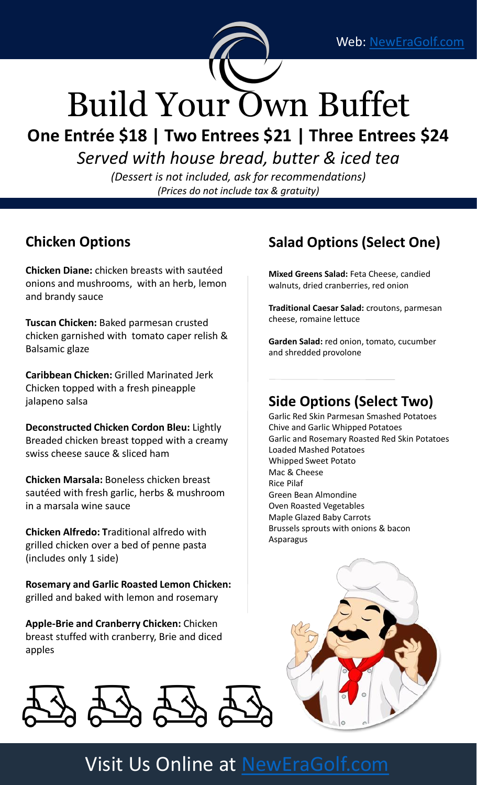

# Build Your Own Buffet

**One Entrée \$18 | Two Entrees \$21 | Three Entrees \$24**

*Served with house bread, butter & iced tea*

*(Dessert is not included, ask for recommendations) (Prices do not include tax & gratuity)*

## **Chicken Options**

**Chicken Diane:** chicken breasts with sautéed onions and mushrooms, with an herb, lemon and brandy sauce

**Tuscan Chicken:** Baked parmesan crusted chicken garnished with tomato caper relish & Balsamic glaze

**Caribbean Chicken:** Grilled Marinated Jerk Chicken topped with a fresh pineapple jalapeno salsa

**Deconstructed Chicken Cordon Bleu:** Lightly Breaded chicken breast topped with a creamy swiss cheese sauce & sliced ham

**Chicken Marsala:** Boneless chicken breast sautéed with fresh garlic, herbs & mushroom in a marsala wine sauce

**Chicken Alfredo: T**raditional alfredo with grilled chicken over a bed of penne pasta (includes only 1 side)

**Rosemary and Garlic Roasted Lemon Chicken:**  grilled and baked with lemon and rosemary

**Apple-Brie and Cranberry Chicken:** Chicken breast stuffed with cranberry, Brie and diced apples



## **Salad Options (Select One)**

**Mixed Greens Salad:** Feta Cheese, candied walnuts, dried cranberries, red onion

**Traditional Caesar Salad:** croutons, parmesan cheese, romaine lettuce

**Garden Salad:** red onion, tomato, cucumber and shredded provolone

### **Side Options (Select Two)**

Garlic Red Skin Parmesan Smashed Potatoes Chive and Garlic Whipped Potatoes Garlic and Rosemary Roasted Red Skin Potatoes Loaded Mashed Potatoes Whipped Sweet Potato Mac & Cheese Rice Pilaf Green Bean Almondine Oven Roasted Vegetables Maple Glazed Baby Carrots Brussels sprouts with onions & bacon Asparagus



## Visit Us Online at [NewEraGolf.com](http://neweragolf.com/)